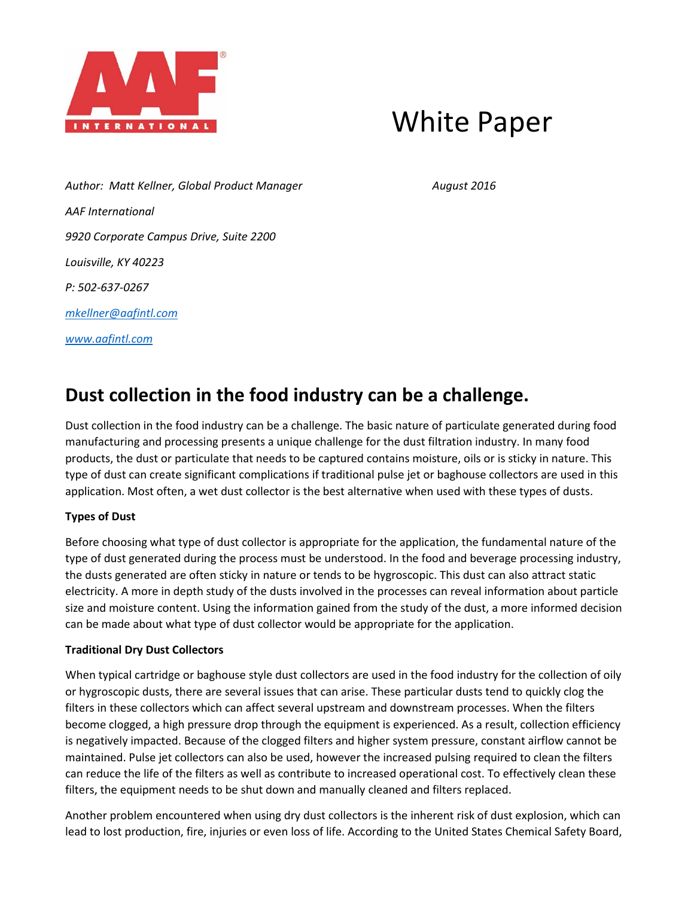

# White Paper

Author: Matt Kellner, Global Product Manager **August 2016** August 2016 *AAF International 9920 Corporate Campus Drive, Suite 2200 Louisville, KY 40223 P: 502-637-0267 [mkellner@aafintl.com](mailto:mkellner@aafintl.com) [www.aafintl.com](http://www.aafintl.com/)*

## **Dust collection in the food industry can be a challenge.**

Dust collection in the food industry can be a challenge. The basic nature of particulate generated during food manufacturing and processing presents a unique challenge for the dust filtration industry. In many food products, the dust or particulate that needs to be captured contains moisture, oils or is sticky in nature. This type of dust can create significant complications if traditional pulse jet or baghouse collectors are used in this application. Most often, a wet dust collector is the best alternative when used with these types of dusts.

### **Types of Dust**

Before choosing what type of dust collector is appropriate for the application, the fundamental nature of the type of dust generated during the process must be understood. In the food and beverage processing industry, the dusts generated are often sticky in nature or tends to be hygroscopic. This dust can also attract static electricity. A more in depth study of the dusts involved in the processes can reveal information about particle size and moisture content. Using the information gained from the study of the dust, a more informed decision can be made about what type of dust collector would be appropriate for the application.

#### **Traditional Dry Dust Collectors**

When typical cartridge or baghouse style dust collectors are used in the food industry for the collection of oily or hygroscopic dusts, there are several issues that can arise. These particular dusts tend to quickly clog the filters in these collectors which can affect several upstream and downstream processes. When the filters become clogged, a high pressure drop through the equipment is experienced. As a result, collection efficiency is negatively impacted. Because of the clogged filters and higher system pressure, constant airflow cannot be maintained. Pulse jet collectors can also be used, however the increased pulsing required to clean the filters can reduce the life of the filters as well as contribute to increased operational cost. To effectively clean these filters, the equipment needs to be shut down and manually cleaned and filters replaced.

Another problem encountered when using dry dust collectors is the inherent risk of dust explosion, which can lead to lost production, fire, injuries or even loss of life. According to the United States Chemical Safety Board,